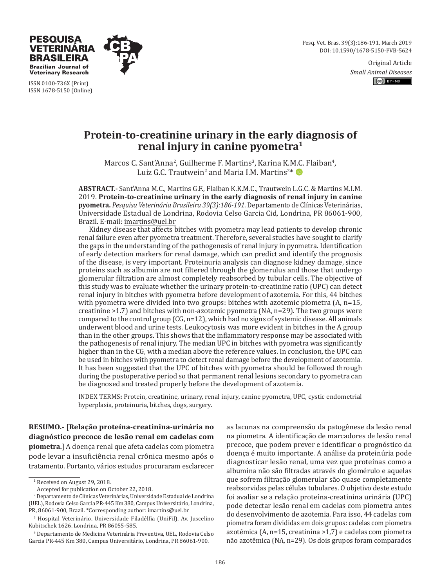Pesq. Vet. Bras. 39(3):186-191, March 2019 DOI: 10.1590/1678-5150-PVB-5624

> Original Article *Small Animal Diseases*  $(c)$   $y - NC$



ISSN 0100-736X (Print) ISSN 1678-5150 (Online)

TERINARIA **BRASILEIRA Brazilian Journal of Veterinary Research** 

# **Protein-to-creatinine urinary in the early diagnosis of renal injury in canine pyometra1**

Marcos C. Sant'Anna<sup>2</sup>, Guilherme F. Martins<sup>3</sup>, Karina K.M.C. Flaiban<sup>4</sup>, Luiz G.C. Trautwein<sup>2</sup> and Maria I.M. Martins<sup>2\*</sup>

**ABSTRACT.-** Sant'Anna M.C., Martins G.F., Flaiban K.K.M.C., Trautwein L.G.C. & Martins M.I.M. 2019. **Protein-to-creatinine urinary in the early diagnosis of renal injury in canine pyometra.** *Pesquisa Veterinária Brasileira 39(3):186-191*. Departamento de Clínicas Veterinárias, Universidade Estadual de Londrina, Rodovia Celso Garcia Cid, Londrina, PR 86061-900, Brazil. E-mail: imartins@uel.br

Kidney disease that affects bitches with pyometra may lead patients to develop chronic renal failure even after pyometra treatment. Therefore, several studies have sought to clarify the gaps in the understanding of the pathogenesis of renal injury in pyometra. Identification of early detection markers for renal damage, which can predict and identify the prognosis of the disease, is very important. Proteinuria analysis can diagnose kidney damage, since proteins such as albumin are not filtered through the glomerulus and those that undergo glomerular filtration are almost completely reabsorbed by tubular cells. The objective of this study was to evaluate whether the urinary protein-to-creatinine ratio (UPC) can detect renal injury in bitches with pyometra before development of azotemia. For this, 44 bitches with pyometra were divided into two groups: bitches with azotemic piometra (A, n=15, creatinine  $>1.7$ ) and bitches with non-azotemic pyometra (NA,  $n=29$ ). The two groups were compared to the control group  $(CG, n=12)$ , which had no signs of systemic disease. All animals underwent blood and urine tests. Leukocytosis was more evident in bitches in the A group than in the other groups. This shows that the inflammatory response may be associated with the pathogenesis of renal injury. The median UPC in bitches with pyometra was significantly higher than in the CG, with a median above the reference values. In conclusion, the UPC can be used in bitches with pyometra to detect renal damage before the development of azotemia. It has been suggested that the UPC of bitches with pyometra should be followed through during the postoperative period so that permanent renal lesions secondary to pyometra can be diagnosed and treated properly before the development of azotemia.

INDEX TERMS**:** Protein, creatinine, urinary, renal injury, canine pyometra, UPC, cystic endometrial hyperplasia, proteinuria, bitches, dogs, surgery.

**RESUMO.-** [**Relação proteína-creatinina-urinária no diagnóstico precoce de lesão renal em cadelas com piometra.**] A doença renal que afeta cadelas com piometra pode levar a insuficiência renal crônica mesmo após o tratamento. Portanto, vários estudos procuraram esclarecer

as lacunas na compreensão da patogênese da lesão renal na piometra. A identificação de marcadores de lesão renal precoce, que podem prever e identificar o prognóstico da doença é muito importante. A análise da proteinúria pode diagnosticar lesão renal, uma vez que proteínas como a albumina não são filtradas através do glomérulo e aquelas que sofrem filtração glomerular são quase completamente reabsorvidas pelas células tubulares. O objetivo deste estudo foi avaliar se a relação proteína-creatinina urinária (UPC) pode detectar lesão renal em cadelas com piometra antes do desenvolvimento de azotemia. Para isso, 44 cadelas com piometra foram divididas em dois grupos: cadelas com piometra azotêmica (A, n=15, creatinina >1,7) e cadelas com piometra não azotêmica (NA, n=29). Os dois grupos foram comparados

<sup>1</sup> Received on August 29, 2018.

Accepted for publication on October 22, 2018.

<sup>2</sup> Departamento de Clínicas Veterinárias, Universidade Estadual de Londrina (UEL), Rodovia Celso Garcia PR-445 Km 380, Campus Universitário, Londrina, PR, 86061-900, Brazil. \*Corresponding author: imartins@uel.br

<sup>3</sup> Hospital Veterinário, Universidade Filadélfia (UniFil), Av. Juscelino Kubitschek 1626, Londrina, PR 86055-585.

<sup>4</sup> Departamento de Medicina Veterinária Preventiva, UEL, Rodovia Celso Garcia PR-445 Km 380, Campus Universitário, Londrina, PR 86061-900.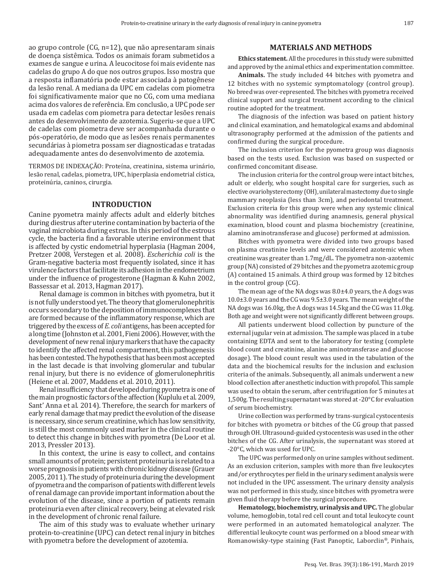ao grupo controle (CG, n=12), que não apresentaram sinais de doença sistêmica. Todos os animais foram submetidos a exames de sangue e urina. A leucocitose foi mais evidente nas cadelas do grupo A do que nos outros grupos. Isso mostra que a resposta inflamatória pode estar associada à patogênese da lesão renal. A mediana da UPC em cadelas com piometra foi significativamente maior que no CG, com uma mediana acima dos valores de referência. Em conclusão, a UPC pode ser usada em cadelas com piometra para detectar lesões renais antes do desenvolvimento de azotemia. Sugeriu-se que a UPC de cadelas com piometra deve ser acompanhada durante o pós-operatório, de modo que as lesões renais permanentes secundárias à piometra possam ser diagnosticadas e tratadas adequadamente antes do desenvolvimento de azotemia.

TERMOS DE INDEXAÇÃO: Proteína, creatinina, sistema urinário, lesão renal, cadelas, piometra, UPC, hiperplasia endometrial cística, proteinúria, caninos, cirurgia.

## **INTRODUCTION**

Canine pyometra mainly affects adult and elderly bitches during diestrus after uterine contamination by bacteria of the vaginal microbiota during estrus. In this period of the estrous cycle, the bacteria find a favorable uterine environment that is affected by cystic endometrial hyperplasia (Hagman 2004, Pretzer 2008, Verstegen et al. 2008). *Escherichia coli* is the Gram-negative bacteria most frequently isolated, since it has virulence factors that facilitate its adhesion in the endometrium under the influence of progesterone (Hagman & Kuhn 2002, Bassessar et al. 2013, Hagman 2017).

Renal damage is common in bitches with pyometra, but it is not fully understood yet. The theory that glomerulonephritis occurs secondary to the deposition of immunocomplexes that are formed because of the inflammatory response, which are triggered by the excess of *E. coli* antigens, has been accepted for a long time (Johnstonet al. 2001, Fieni 2006). However, with the development of new renal injury markers that have the capacity to identify the affected renal compartment, this pathogenesis has been contested. The hypothesis that has been most accepted in the last decade is that involving glomerular and tubular renal injury, but there is no evidence of glomerulonephritis (Heiene et al. 2007, Maddens et al. 2010, 2011).

Renal insufficiency that developed during pyometra is one of the main prognostic factors of the affection (Kuplulu et al. 2009, Sant' Anna et al. 2014). Therefore, the search for markers of early renal damage that may predict the evolution of the disease is necessary, since serum creatinine, which has low sensitivity, is still the most commonly used marker in the clinical routine to detect this change in bitches with pyometra (De Loor et al. 2013, Pressler 2013).

In this context, the urine is easy to collect, and contains small amounts of protein; persistent proteinuria is related to a worse prognosis in patients with chronic kidney disease (Grauer 2005, 2011). The study of proteinuria during the development of pyometra and the comparison of patients with different levels of renal damage can provide important information about the evolution of the disease, since a portion of patients remain proteinuria even after clinical recovery, being at elevated risk in the development of chronic renal failure.

The aim of this study was to evaluate whether urinary protein-to-creatinine (UPC) can detect renal injury in bitches with pyometra before the development of azotemia.

# **MATERIALS AND METHODS**

**Ethics statement.** All the procedures in this study were submitted and approved by the animal ethics and experimentation committee.

**Animals.** The study included 44 bitches with pyometra and 12 bitches with no systemic symptomatology (control group). No breed was over-represented. The bitches with pyometra received clinical support and surgical treatment according to the clinical routine adopted for the treatment.

The diagnosis of the infection was based on patient history and clinical examination, and hematological exams and abdominal ultrasonography performed at the admission of the patients and confirmed during the surgical procedure.

The inclusion criterion for the pyometra group was diagnosis based on the tests used. Exclusion was based on suspected or confirmed concomitant disease.

The inclusion criteria for the control group were intact bitches, adult or elderly, who sought hospital care for surgeries, such as elective ovariohysterectomy (OH), unilateral mastectomy due to single mammary neoplasia (less than 3cm), and periodontal treatment. Exclusion criteria for this group were when any systemic clinical abnormality was identified during anamnesis, general physical examination, blood count and plasma biochemistry (creatinine, alamino aminotransferase and glucose) performed at admission.

Bitches with pyometra were divided into two groups based on plasma creatinine levels and were considered azotemic when creatinine was greater than 1.7mg/dL. The pyometra non-azotemic group (NA) consisted of 29 bitches and the pyometra azotemic group (A) contained 15 animals. A third group was formed by 12 bitches in the control group (CG).

The mean age of the NA dogs was 8.0±4.0 years, the A dogs was 10.0±3.0 years and the CG was 9.5±3.0 years. The mean weight of the NA dogs was 16.0kg, the A dogs was 14.5kg and the CG was 11.0kg. Both age and weight were not significantly different between groups.

All patients underwent blood collection by puncture of the external jugular vein at admission. The sample was placed in a tube containing EDTA and sent to the laboratory for testing (complete blood count and creatinine, alanine aminotransferase and glucose dosage). The blood count result was used in the tabulation of the data and the biochemical results for the inclusion and exclusion criteria of the animals. Subsequently, all animals underwent a new blood collection after anesthetic induction with propofol. This sample was used to obtain the serum, after centrifugation for 5 minutes at 1,500g. The resulting supernatant was stored at -20°C for evaluation of serum biochemistry.

Urine collection was performed by trans-surgical cystocentesis for bitches with pyometra or bitches of the CG group that passed through OH. Ultrasound-guided cystocentesis was used in the other bitches of the CG. After urinalysis, the supernatant was stored at -20°C, which was used for UPC.

The UPC was performed only on urine samples without sediment. As an exclusion criterion, samples with more than five leukocytes and/or erythrocytes per field in the urinary sediment analysis were not included in the UPC assessment. The urinary density analysis was not performed in this study, since bitches with pyometra were given fluid therapy before the surgical procedure.

**Hematology, biochemistry, urinalysis and UPC.** The globular volume, hemoglobin, total red cell count and total leukocyte count were performed in an automated hematological analyzer. The differential leukocyte count was performed on a blood smear with Romanowisky-type staining (Fast Panoptic, Laborclin®, Pinhais,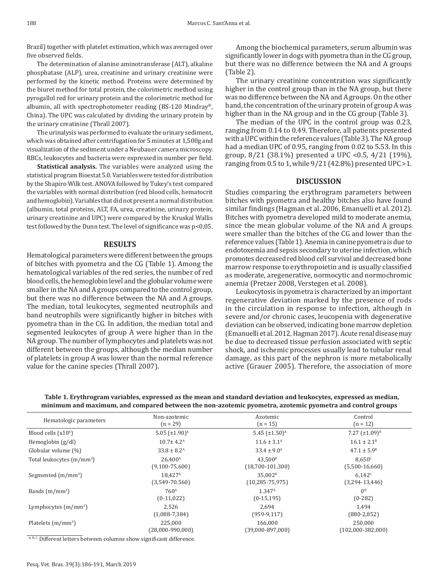Brazil) together with platelet estimation, which was averaged over five observed fields.

The determination of alanine aminotransferase (ALT), alkaline phosphatase (ALP), urea, creatinine and urinary creatinine were performed by the kinetic method. Proteins were determined by the biuret method for total protein, the colorimetric method using pyrogallol red for urinary protein and the colorimetric method for albumin, all with spectrophotometer reading (BS-120 Mindray®, China). The UPC was calculated by dividing the urinary protein by the urinary creatinine (Thrall 2007).

The urinalysis was performed to evaluate the urinary sediment, which was obtained after centrifugation for 5 minutes at 1,500g and visualization of the sediment under a Neubauer camera microscopy. RBCs, leukocytes and bacteria were expressed in number per field.

**Statistical analysis.** The variables were analyzed using the statistical program Bioestat 5.0. Variables were tested for distribution by the Shapiro Wilk test. ANOVA followed by Tukey's test compared the variables with normal distribution (red blood cells, hematocrit and hemoglobin). Variables that did not present a normal distribution (albumin, total proteins, ALT, FA, urea, creatinine, urinary protein, urinary creatinine and UPC) were compared by the Kruskal Wallis test followed by the Dunn test. The level of significance was p<0,05.

## **RESULTS**

Hematological parameters were different between the groups of bitches with pyometra and the CG (Table 1). Among the hematological variables of the red series, the number of red blood cells, the hemoglobin level and the globular volume were smaller in the NA and A groups compared to the control group, but there was no difference between the NA and A groups. The median, total leukocytes, segmented neutrophils and band neutrophils were significantly higher in bitches with pyometra than in the CG. In addition, the median total and segmented leukocytes of group A were higher than in the NA group. The number of lymphocytes and platelets was not different between the groups, although the median number of platelets in group A was lower than the normal reference value for the canine species (Thrall 2007).

Among the biochemical parameters, serum albumin was significantly lower in dogs with pyometra than in the CG group, but there was no difference between the NA and A groups (Table 2).

The urinary creatinine concentration was significantly higher in the control group than in the NA group, but there was no difference between the NA and A groups. On the other hand, the concentration of the urinary protein of group A was higher than in the NA group and in the CG group (Table 3).

The median of the UPC in the control group was 0.23, ranging from 0.14 to 0.49. Therefore, all patients presented with a UPC within the reference values (Table 3). The NA group had a median UPC of 0.95, ranging from 0.02 to 5.53. In this group, 8/21 (38.1%) presented a UPC <0.5, 4/21 (19%), ranging from 0.5 to 1, while 9/21 (42.8%) presented UPC >1.

#### **DISCUSSION**

Studies comparing the erythrogram parameters between bitches with pyometra and healthy bitches also have found similar findings (Hagman et al. 2006, Emanuelli et al. 2012). Bitches with pyometra developed mild to moderate anemia, since the mean globular volume of the NA and A groups were smaller than the bitches of the CG and lower than the reference values (Table 1). Anemia in canine pyometra is due to endotoxemia and sepsis secondary to uterine infection, which promotes decreased red blood cell survival and decreased bone marrow response to erythropoietin and is usually classified as moderate, aregenerative, normocytic and normochromic anemia (Pretzer 2008, Verstegen et al. 2008).

Leukocytosis in pyometra is characterized by an important regenerative deviation marked by the presence of rods in the circulation in response to infection, although in severe and/or chronic cases, leucopenia with degenerative deviation can be observed, indicating bone marrow depletion (Emanuelli et al. 2012, Hagman 2017). Acute renal disease may be due to decreased tissue perfusion associated with septic shock, and ischemic processes usually lead to tubular renal damage, as this part of the nephron is more metabolically active (Grauer 2005). Therefore, the association of more

**Table 1. Erythrogram variables, expressed as the mean and standard deviation and leukocytes, expressed as median, minimum and maximum, and compared between the non-azotemic pyometra, azotemic pyometra and control groups**

| Non-azotemic                   | Azotemic                  | Control                |
|--------------------------------|---------------------------|------------------------|
| $(n = 29)$                     | $(n = 15)$                | $(n = 12)$             |
| $5.05 \ (\pm 1.90)^{\text{A}}$ | 5.45 $(\pm 1.50)^{A}$     | 7.27 $(\pm 1.09)^{B}$  |
| $10.7 \pm 4.2^{\text{A}}$      | $11.6 \pm 3.1^{\text{A}}$ | $16.1 \pm 2.1^{\circ}$ |
| $33.8 \pm 8.2^{\text{A}}$      | $33.4 \pm 9.0^{\text{A}}$ | $47.1 \pm 5.9^{\circ}$ |
| 26.400 <sup>A</sup>            | 43.500 <sup>B</sup>       | 8.650 <sup>c</sup>     |
| $(9,100-75,600)$               | $(18,700-101,300)$        | $(5,500-16,660)$       |
| 18.427 <sup>A</sup>            | 35.002 <sup>B</sup>       | 6.142c                 |
| $(3,549-70.560)$               | $(10, 285 - 75, 975)$     | $(3,294-13,446)$       |
| 760 <sup>A</sup>               | $1.347^{\rm A}$           | $0^{\text{B}}$         |
| $(0-11,022)$                   | $(0-15, 195)$             | $(0-282)$              |
| 2.526                          | 2.694                     | 1.494                  |
| $(1,088-7,384)$                | $(959-9, 117)$            | $(880-2,852)$          |
| 225,000                        | 166,000                   | 250,000                |
| $(28,000-990,000)$             | $(39,000-897,000)$        | $(102,000-382,000)$    |
|                                |                           |                        |

A, B, C Different letters between columns show significant difference.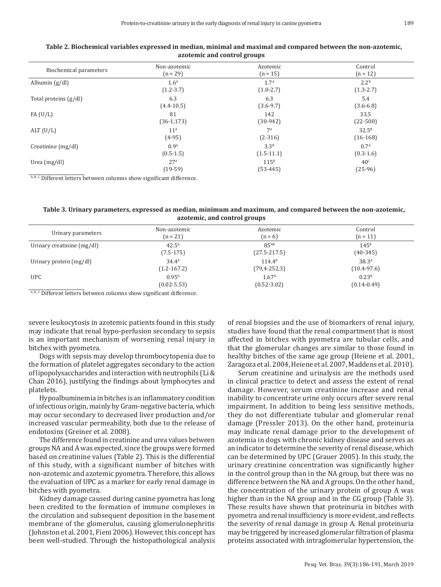| Table 2. Biochemical variables expressed in median, minimal and maximal and compared between the non-azotemic,<br>azotemic and control groups |                  |                       |                  |  |  |  |
|-----------------------------------------------------------------------------------------------------------------------------------------------|------------------|-----------------------|------------------|--|--|--|
| Biochemical parameters                                                                                                                        | Non-azotemic     | Azotemic              | Control          |  |  |  |
|                                                                                                                                               | $(n = 29)$       | $(n = 15)$            | $(n = 12)$       |  |  |  |
| $\sin\left(\frac{g}{dl}\right)$                                                                                                               | 1.6 <sup>A</sup> | 1.7 <sup>A</sup>      | 2.2 <sup>B</sup> |  |  |  |
|                                                                                                                                               | $(1.2 - 3.7)$    | $(1.0-2,7)$           | $(1.3 - 2.7)$    |  |  |  |
| proteins (g/dl)                                                                                                                               | 6.3              | 6.3                   | 5.4              |  |  |  |
|                                                                                                                                               | $(4.4 - 10.5)$   | $(3.6 - 9.7)$         | $(3.6 - 6.8)$    |  |  |  |
| /L)                                                                                                                                           | 81               | 142                   | 33.5             |  |  |  |
|                                                                                                                                               | $(36-1, 173)$    | $(30-942)$            | $(22-500)$       |  |  |  |
| J/L)                                                                                                                                          | 11 <sup>A</sup>  | <b>7</b> <sup>A</sup> | $32.5^B$         |  |  |  |

(2-316)

3.3<sup>B</sup> (1.5-11.1)

115B (53-445)

# **Table 2. Biochemica**

 $A, B, C$  Different letters between columns show significant difference.

Creatinine  $(mg/dl)$  0.9<sup>A</sup>

Urea (mg/dl) 27<sup>A</sup>

(4-95)

 $(0.5 - 1.5)$ 

(19-59)

Albumin  $(g/dl)$ 

 $FA(U/L)$ 

ALT $(U/L)$ 

Total proteins (g/dl) 6.3

| Table 3. Urinary parameters, expressed as median, minimum and maximum, and compared between the non-azotemic, |
|---------------------------------------------------------------------------------------------------------------|
| azotemic, and control groups                                                                                  |

| Urinary parameters         | Non-azotemic      | Azotemic           | Control           |
|----------------------------|-------------------|--------------------|-------------------|
|                            | $(n = 21)$        | $(n = 6)$          | $(n = 11)$        |
| Urinary creatinine (mg/dl) | $42.5^{\text{A}}$ | $85^{AB}$          | 145 <sup>B</sup>  |
|                            | $(7.5-175)$       | $(27.5 - 217.5)$   | $(40-345)$        |
| Urinary protein (mg/dl)    | $34.4^A$          | $114.4^{B}$        | 38.3 <sup>A</sup> |
|                            | $(1.2 - 167.2)$   | $(79, 4 - 252, 3)$ | $(10.4 - 97.6)$   |
| <b>UPC</b>                 | $0.95^{A}$        | 1.67 <sup>A</sup>  | 0.23 <sup>B</sup> |
|                            | $(0.02 - 5.53)$   | $(0.52 - 3.02)$    | $(0.14 - 0.49)$   |

 $^{\mathtt{A},\mathtt{B},\mathtt{C}}$  Different letters between columns show significant difference.

severe leukocytosis in azotemic patients found in this study may indicate that renal hypo-perfusion secondary to sepsis is an important mechanism of worsening renal injury in bitches with pyometra.

Dogs with sepsis may develop thrombocytopenia due to the formation of platelet aggregates secondary to the action of lipopolysaccharides and interaction with neutrophils (Li& Chan 2016), justifying the findings about lymphocytes and platelets.

Hypoalbuminemia in bitches is an inflammatory condition of infectious origin, mainly by Gram-negative bacteria, which may occur secondary to decreased liver production and/or increased vascular permeability, both due to the release of endotoxins (Greiner et al. 2008).

The difference found in creatinine and urea values between groups NA and A was expected, since the groups were formed based on creatinine values (Table 2). This is the differential of this study, with a significant number of bitches with non-azotemic and azotemic pyometra. Therefore, this allows the evaluation of UPC as a marker for early renal damage in bitches with pyometra.

Kidney damage caused during canine pyometra has long been credited to the formation of immune complexes in the circulation and subsequent deposition in the basement membrane of the glomerulus, causing glomerulonephritis (Johnston et al. 2001, Fieni 2006). However, this concept has been well-studied. Through the histopathological analysis of renal biopsies and the use of biomarkers of renal injury, studies have found that the renal compartment that is most affected in bitches with pyometra are tubular cells, and that the glomerular changes are similar to those found in healthy bitches of the same age group (Heiene et al. 2001, Zaragoza et al. 2004, Heiene et al. 2007, Maddens et al. 2010).

Serum creatinine and urinalysis are the methods used in clinical practice to detect and assess the extent of renal damage. However, serum creatinine increase and renal inability to concentrate urine only occurs after severe renal impairment. In addition to being less sensitive methods, they do not differentiate tubular and glomerular renal damage (Pressler 2013). On the other hand, proteinuria may indicate renal damage prior to the development of azotemia in dogs with chronic kidney disease and serves as an indicator to determine the severity of renal disease, which can be determined by UPC (Grauer 2005). In this study, the urinary creatinine concentration was significantly higher in the control group than in the NA group, but there was no difference between the NA and A groups. On the other hand, the concentration of the urinary protein of group A was higher than in the NA group and in the CG group (Table 3). These results have shown that proteinuria in bitches with pyometra and renal insufficiency is more evident, and reflects the severity of renal damage in group A. Renal proteinuria may be triggered by increased glomerular filtration of plasma proteins associated with intraglomerular hypertension, the

(16-168)

0.7A  $(0.3 - 1.6)$ 

 $40<sup>c</sup>$ (25-96)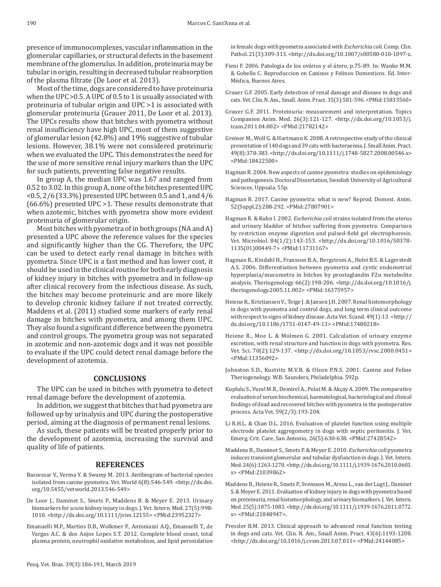presence of immunocomplexes, vascular inflammation in the glomerular capillaries, or structural defects in the basement membrane of the glomerulus. In addition, proteinuria may be tubular in origin, resulting in decreased tubular reabsorption of the plasma filtrate (De Loor et al. 2013).

Most of the time, dogs are considered to have proteinuria when the UPC >0.5. A UPC of 0.5 to 1 is usually associated with proteinuria of tubular origin and UPC >1 is associated with glomerular proteinuria (Grauer 2011, De Loor et al. 2013). The UPCs results show that bitches with pyometra without renal insufficiency have high UPC, most of them suggestive of glomerular lesion (42.8%) and 19% suggestive of tubular lesions. However, 38.1% were not considered proteinuric when we evaluated the UPC. This demonstrates the need for the use of more sensitive renal injury markers than the UPC for such patients, preventing false negative results.

In group A, the median UPC was 1.67 and ranged from 0.52 to 3.02. In this group A, none of the bitches presented UPC <0.5, 2/6 (33.3%) presented UPC between 0.5 and 1, and 4/6 (66.6%) presented UPC >1. These results demonstrate that when azotemic, bitches with pyometra show more evident proteinuria of glomerular origin.

Most bitches with pyometra of in both groups (NA and A) presented a UPC above the reference values for the species and significantly higher than the CG. Therefore, the UPC can be used to detect early renal damage in bitches with pyometra. Since UPC is a fast method and has lower cost, it should be used in the clinical routine for both early diagnosis of kidney injury in bitches with pyometra and in follow-up after clinical recovery from the infectious disease. As such, the bitches may become proteinuric and are more likely to develop chronic kidney failure if not treated correctly. Maddens et al. (2011) studied some markers of early renal damage in bitches with pyometra, and among them UPC. They also found a significant difference between the pyometra and control groups. The pyometra group was not separated in azotemic and non-azotemic dogs and it was not possible to evaluate if the UPC could detect renal damage before the development of azotemia.

# **CONCLUSIONS**

The UPC can be used in bitches with pyometra to detect renal damage before the development of azotemia.

In addition, we suggest that bitches that had pyometra are followed up by urinalysis and UPC during the postoperative period, aiming at the diagnosis of permanent renal lesions.

As such, these patients will be treated properly prior to the development of azotemia, increasing the survival and quality of life of patients.

#### **REFERENCES**

- Bassessar V., Verma Y. & Swamy M. 2013. Antibiogram of bacterial species isolated from canine pyometra. Vet. World 6(8):546-549. [<http://dx.doi.](https://doi.org/10.5455/vetworld.2013.546-549) [org/10.5455/vetworld.2013.546-549>](https://doi.org/10.5455/vetworld.2013.546-549)
- De Loor J., Daminet S., Smets P., Maddens B. & Meyer E. 2013. Urinary biomarkers for acute kidney injury in dogs. J. Vet. Intern. Med. 27(5):998- 1010. [<http://dx.doi.org/10.1111/jvim.12155>](https://doi.org/10.1111/jvim.12155) [<PMid:23952327>](https://www.ncbi.nlm.nih.gov/entrez/query.fcgi?cmd=Retrieve&db=PubMed&list_uids=23952327&dopt=Abstract)
- Emanuelli M.P., Martins D.B., Wolkmer P., Antoniazzi A.Q., Emanuelli T., de Vargas A.C. & dos Anjos Lopes S.T. 2012. Complete blood count, total plasma protein, neutrophil oxidative metabolism, and lipid peroxidation

in female dogs with pyometra associated with *Escherichia coli.* Comp. Clin. Pathol. 21(3):309-313. [<http://dx.doi.org/10.1007/s00580-010-1097-](https://doi.org/10.1007/s00580-010-1097-z)z.

- Fieni F. 2006. Patologia de los ovários y el útero, p.75-89. In: Wanke M.M. & Gobello C. Reproduccion en Caninos y Felinos Domesticos. Ed. Inter-Médica, Buenos Aires.
- Grauer G.F. 2005. Early detection of renal damage and disease in dogs and cats. Vet. Clin. N. Am., Small. Anim. Pract. 35(3):581-596[. <PMid:15833560>](https://www.ncbi.nlm.nih.gov/entrez/query.fcgi?cmd=Retrieve&db=PubMed&list_uids=15833560&dopt=Abstract)
- Grauer G.F. 2011. Proteinuria: measurement and interpretation. Topics Companion Anim. Med. 26(3):121-127. [<http://dx.doi.org/10.1053/j.](https://doi.org/10.1053/j.tcam.2011.04.002) [tcam.2011.04.002>](https://doi.org/10.1053/j.tcam.2011.04.002) [<PMid:21782142>](https://www.ncbi.nlm.nih.gov/entrez/query.fcgi?cmd=Retrieve&db=PubMed&list_uids=21782142&dopt=Abstract)
- Greiner M., Wolf G. & Hartmann K. 2008. A retrospective study of the clinical presentation of 140 dogs and 39 cats with bacteraemia. J. Small Anim. Pract. 49(8):378-383. [<http://dx.doi.org/10.1111/j.1748-5827.2008.00546.x>](https://doi.org/10.1111/j.1748-5827.2008.00546.x) [<PMid:18422500>](https://www.ncbi.nlm.nih.gov/entrez/query.fcgi?cmd=Retrieve&db=PubMed&list_uids=18422500&dopt=Abstract)
- Hagman R. 2004. New aspects of canine pyometra: studies on epidemiology and pathogenesis. Doctoral Dissertation, Swedish University of Agricultural Sciences, Uppsala. 55p.
- Hagman R. 2017. Canine pyometra: what is new? Reprod. Domest. Anim. 52(Suppl.2):288-292. [<PMid:27807901>](https://www.ncbi.nlm.nih.gov/entrez/query.fcgi?cmd=Retrieve&db=PubMed&list_uids=27807901&dopt=Abstract)
- Hagman R. & Kuhn I. 2002. *Escherichia coli* strains isolated from the uterus and urinary bladder of bitches suffering from pyometra: Comparison by restriction enzyme digestion and pulsed-field gel electrophoresis. Vet. Microbiol. 84(1/2):143-153. [<http://dx.doi.org/10.1016/S0378-](https://doi.org/10.1016/S0378-1135(01)00449-7) [1135\(01\)00449-7>](https://doi.org/10.1016/S0378-1135(01)00449-7) [<PMid:11731167>](https://www.ncbi.nlm.nih.gov/entrez/query.fcgi?cmd=Retrieve&db=PubMed&list_uids=11731167&dopt=Abstract)
- Hagman R., Kindahl H., Fransson B.A., Bergstrom A., Holst B.S. & Lagerstedt A.S. 2006. Differentiation between pyometra and cystic endometrial hyperplasia/mucometra in bitches by prostaglandin F2α metabolite analysis. Theriogenology 66(2):198-206. [<http://dx.doi.org/10.1016/j.](https://doi.org/10.1016/j.theriogenology.2005.11.002) [theriogenology.2005.11.002>](https://doi.org/10.1016/j.theriogenology.2005.11.002) [<PMid:16375957>](https://www.ncbi.nlm.nih.gov/entrez/query.fcgi?cmd=Retrieve&db=PubMed&list_uids=16375957&dopt=Abstract)
- Heiene R., Kristiansen V., Teige J. & Jansen J.H. 2007. Renal histomorphology in dogs with pyometra and control dogs, and long term clinical outcome with respect to signs of kidney disease. Acta Vet. Scand. 49(1):13. [<http://](https://doi.org/10.1186/1751-0147-49-13) [dx.doi.org/10.1186/1751-0147-49-13>](https://doi.org/10.1186/1751-0147-49-13) [<PMid:17480218>](https://www.ncbi.nlm.nih.gov/entrez/query.fcgi?cmd=Retrieve&db=PubMed&list_uids=17480218&dopt=Abstract)
- Heiene R., Moe L. & Molmen G. 2001. Calculation of urinary enzyme excretion, with renal structure and function in dogs with pyometra. Res. Vet. Sci. 70(2):129-137. [<http://dx.doi.org/10.1053/rvsc.2000.0451>](https://doi.org/10.1053/rvsc.2000.0451) [<PMid:11356092>](https://www.ncbi.nlm.nih.gov/entrez/query.fcgi?cmd=Retrieve&db=PubMed&list_uids=11356092&dopt=Abstract)
- Johnston S.D., Kustritz M.V.R. & Olson P.N.S. 2001. Canine and Feline Theriogenology. W.B. Saunders, Philadelphia. 592p.
- Kuplulu S., Vural M.R., Demirel A., Polat M. & Akçay A. 2009. The comparative evaluation of serum biochemical, haematological, bacteriological and clinical findings of dead and recovered bitches with pyometra in the postoperative process. Acta Vet. 59(2/3):193-204.
- Li R.H.L. & Chan D.L. 2016. Evaluation of platelet function using multiple electrode platelet aggregometry in dogs with septic peritonitis. J. Vet. Emerg. Crit. Care, San Antonio, 26(5):630-638. [<PMid:27428542>](https://www.ncbi.nlm.nih.gov/entrez/query.fcgi?cmd=Retrieve&db=PubMed&list_uids=27428542&dopt=Abstract)
- Maddens B., Daminet S., Smets P. & Meyer E. 2010. *Escherichia coli* pyometra induces transient glomerular and tubular dysfunction in dogs. J. Vet. Intern. Med. 24(6):1263-1270. [<http://dx.doi.org/10.1111/j.1939-1676.2010.0603.](https://doi.org/10.1111/j.1939-1676.2010.0603.x) [x>](https://doi.org/10.1111/j.1939-1676.2010.0603.x) [<PMid:21039862>](https://www.ncbi.nlm.nih.gov/entrez/query.fcgi?cmd=Retrieve&db=PubMed&list_uids=21039862&dopt=Abstract)
- Maddens B., Heiene R., Smets P., Svensson M., Aresu L., van der Lugt J., Daminet S. & Meyer E. 2011. Evaluation of kidney injury in dogs with pyometra based on proteinuria, renal histomorphology, and urinary biomarkers. J. Vet. Intern. Med. 25(5):1075-1083. [<http://dx.doi.org/10.1111/j.1939-1676.2011.0772.](https://doi.org/10.1111/j.1939-1676.2011.0772.x) [x>](https://doi.org/10.1111/j.1939-1676.2011.0772.x) [<PMid:21848947>](https://www.ncbi.nlm.nih.gov/entrez/query.fcgi?cmd=Retrieve&db=PubMed&list_uids=21848947&dopt=Abstract).
- Pressler B.M. 2013. Clinical approach to advanced renal function testing in dogs and cats. Vet. Clin. N. Am., Small Anim. Pract. 43(6):1193-1208. [<http://dx.doi.org/10.1016/j.cvsm.2013.07.011>](https://doi.org/10.1016/j.cvsm.2013.07.011) [<PMid:24144085>](https://www.ncbi.nlm.nih.gov/entrez/query.fcgi?cmd=Retrieve&db=PubMed&list_uids=24144085&dopt=Abstract)